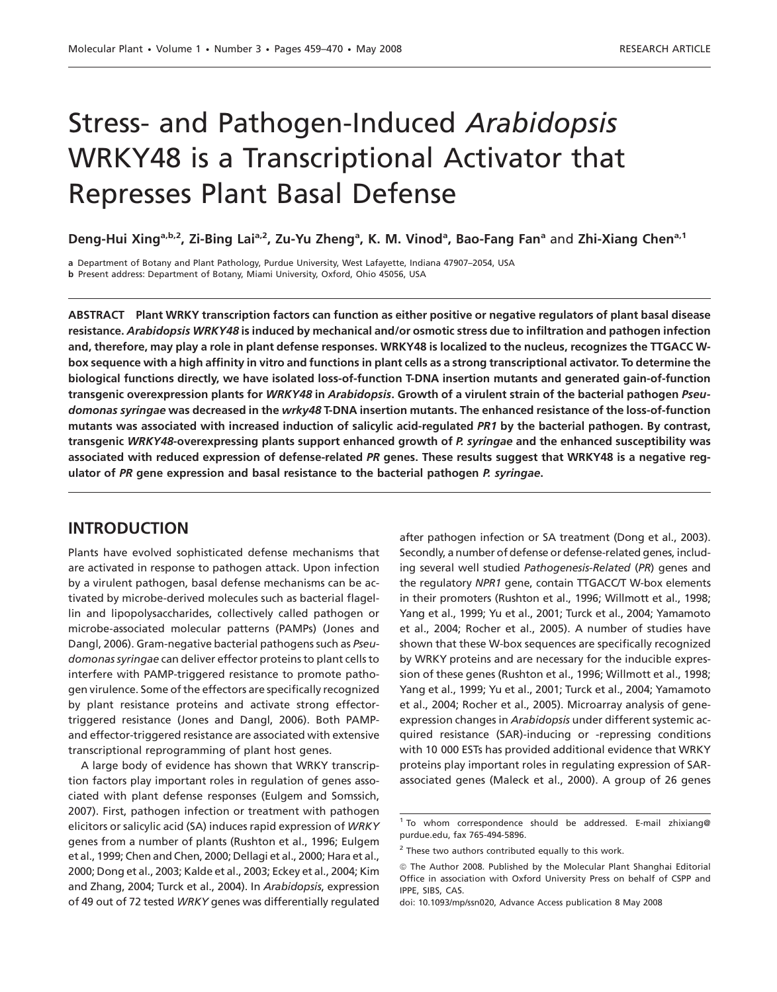# Stress- and Pathogen-Induced Arabidopsis WRKY48 is a Transcriptional Activator that Represses Plant Basal Defense

Deng-Hui Xing<sup>a,b,2</sup>, Zi-Bing Lai<sup>a,2</sup>, Zu-Yu Zheng<sup>a</sup>, K. M. Vinod<sup>a</sup>, Bao-Fang Fan<sup>a</sup> and Zhi-Xiang Chen<sup>a,1</sup>

a Department of Botany and Plant Pathology, Purdue University, West Lafayette, Indiana 47907–2054, USA b Present address: Department of Botany, Miami University, Oxford, Ohio 45056, USA

ABSTRACT Plant WRKY transcription factors can function as either positive or negative regulators of plant basal disease resistance. Arabidopsis WRKY48 is induced by mechanical and/or osmotic stress due to infiltration and pathogen infection and, therefore, may play a role in plant defense responses. WRKY48 is localized to the nucleus, recognizes the TTGACC Wbox sequence with a high affinity in vitro and functions in plant cells as a strong transcriptional activator. To determine the biological functions directly, we have isolated loss-of-function T-DNA insertion mutants and generated gain-of-function transgenic overexpression plants for WRKY48 in Arabidopsis. Growth of a virulent strain of the bacterial pathogen Pseudomonas syringae was decreased in the wrky48 T-DNA insertion mutants. The enhanced resistance of the loss-of-function mutants was associated with increased induction of salicylic acid-regulated PR1 by the bacterial pathogen. By contrast, transgenic WRKY48-overexpressing plants support enhanced growth of P. syringae and the enhanced susceptibility was associated with reduced expression of defense-related PR genes. These results suggest that WRKY48 is a negative regulator of PR gene expression and basal resistance to the bacterial pathogen P. syringae.

# INTRODUCTION

Plants have evolved sophisticated defense mechanisms that are activated in response to pathogen attack. Upon infection by a virulent pathogen, basal defense mechanisms can be activated by microbe-derived molecules such as bacterial flagellin and lipopolysaccharides, collectively called pathogen or microbe-associated molecular patterns (PAMPs) (Jones and Dangl, 2006). Gram-negative bacterial pathogens such as Pseudomonas syringae can deliver effector proteins to plant cells to interfere with PAMP-triggered resistance to promote pathogen virulence. Some of the effectors are specifically recognized by plant resistance proteins and activate strong effectortriggered resistance (Jones and Dangl, 2006). Both PAMPand effector-triggered resistance are associated with extensive transcriptional reprogramming of plant host genes.

A large body of evidence has shown that WRKY transcription factors play important roles in regulation of genes associated with plant defense responses (Eulgem and Somssich, 2007). First, pathogen infection or treatment with pathogen elicitors or salicylic acid (SA) induces rapid expression of WRKY genes from a number of plants (Rushton et al., 1996; Eulgem et al., 1999; Chen and Chen, 2000; Dellagi et al., 2000; Hara et al., 2000; Dong et al., 2003; Kalde et al., 2003; Eckey et al., 2004; Kim and Zhang, 2004; Turck et al., 2004). In Arabidopsis, expression of 49 out of 72 tested WRKY genes was differentially regulated after pathogen infection or SA treatment (Dong et al., 2003). Secondly, a number of defense or defense-related genes, including several well studied Pathogenesis-Related (PR) genes and the regulatory NPR1 gene, contain TTGACC/T W-box elements in their promoters (Rushton et al., 1996; Willmott et al., 1998; Yang et al., 1999; Yu et al., 2001; Turck et al., 2004; Yamamoto et al., 2004; Rocher et al., 2005). A number of studies have shown that these W-box sequences are specifically recognized by WRKY proteins and are necessary for the inducible expression of these genes (Rushton et al., 1996; Willmott et al., 1998; Yang et al., 1999; Yu et al., 2001; Turck et al., 2004; Yamamoto et al., 2004; Rocher et al., 2005). Microarray analysis of geneexpression changes in Arabidopsis under different systemic acquired resistance (SAR)-inducing or -repressing conditions with 10 000 ESTs has provided additional evidence that WRKY proteins play important roles in regulating expression of SARassociated genes (Maleck et al., 2000). A group of 26 genes

 $1$  To whom correspondence should be addressed. E-mail zhixiang@ purdue.edu, fax 765-494-5896.

 $2$  These two authors contributed equally to this work.

 $@$  The Author 2008. Published by the Molecular Plant Shanghai Editorial Office in association with Oxford University Press on behalf of CSPP and IPPE, SIBS, CAS.

doi: 10.1093/mp/ssn020, Advance Access publication 8 May 2008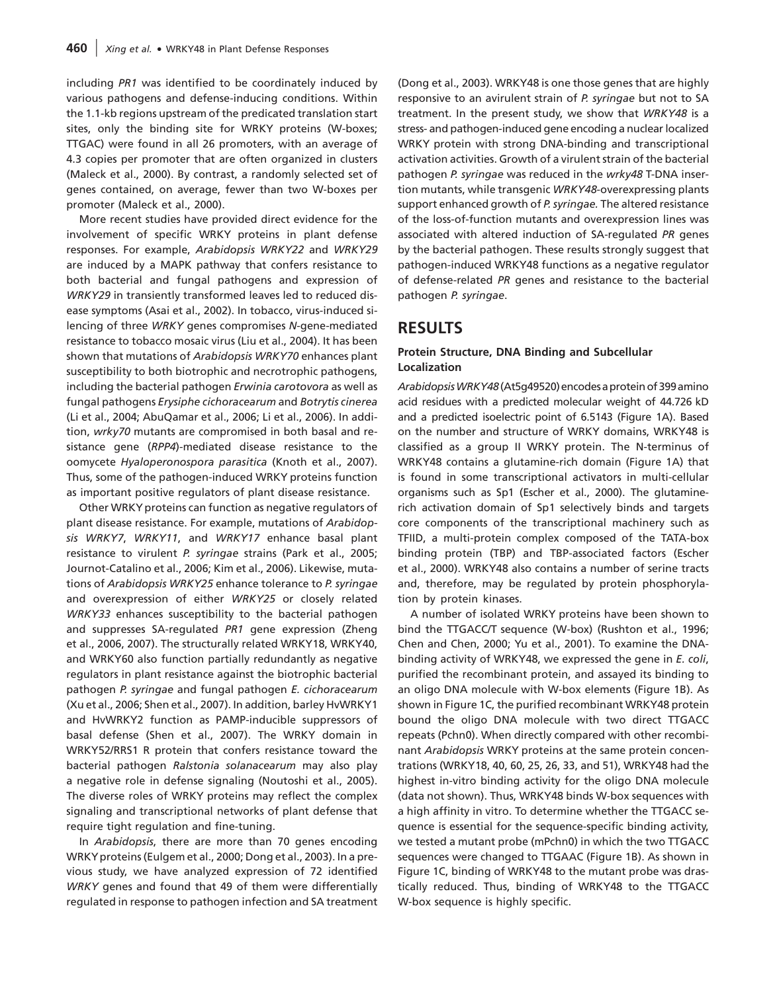including PR1 was identified to be coordinately induced by various pathogens and defense-inducing conditions. Within the 1.1-kb regions upstream of the predicated translation start sites, only the binding site for WRKY proteins (W-boxes; TTGAC) were found in all 26 promoters, with an average of 4.3 copies per promoter that are often organized in clusters (Maleck et al., 2000). By contrast, a randomly selected set of genes contained, on average, fewer than two W-boxes per promoter (Maleck et al., 2000).

More recent studies have provided direct evidence for the involvement of specific WRKY proteins in plant defense responses. For example, Arabidopsis WRKY22 and WRKY29 are induced by a MAPK pathway that confers resistance to both bacterial and fungal pathogens and expression of WRKY29 in transiently transformed leaves led to reduced disease symptoms (Asai et al., 2002). In tobacco, virus-induced silencing of three WRKY genes compromises N-gene-mediated resistance to tobacco mosaic virus (Liu et al., 2004). It has been shown that mutations of Arabidopsis WRKY70 enhances plant susceptibility to both biotrophic and necrotrophic pathogens, including the bacterial pathogen Erwinia carotovora as well as fungal pathogens Erysiphe cichoracearum and Botrytis cinerea (Li et al., 2004; AbuQamar et al., 2006; Li et al., 2006). In addition, wrky70 mutants are compromised in both basal and resistance gene (RPP4)-mediated disease resistance to the oomycete Hyaloperonospora parasitica (Knoth et al., 2007). Thus, some of the pathogen-induced WRKY proteins function as important positive regulators of plant disease resistance.

Other WRKY proteins can function as negative regulators of plant disease resistance. For example, mutations of Arabidopsis WRKY7, WRKY11, and WRKY17 enhance basal plant resistance to virulent P. syringae strains (Park et al., 2005; Journot-Catalino et al., 2006; Kim et al., 2006). Likewise, mutations of Arabidopsis WRKY25 enhance tolerance to P. syringae and overexpression of either WRKY25 or closely related WRKY33 enhances susceptibility to the bacterial pathogen and suppresses SA-regulated PR1 gene expression (Zheng et al., 2006, 2007). The structurally related WRKY18, WRKY40, and WRKY60 also function partially redundantly as negative regulators in plant resistance against the biotrophic bacterial pathogen P. syringae and fungal pathogen E. cichoracearum (Xu et al., 2006; Shen et al., 2007). In addition, barley HvWRKY1 and HvWRKY2 function as PAMP-inducible suppressors of basal defense (Shen et al., 2007). The WRKY domain in WRKY52/RRS1 R protein that confers resistance toward the bacterial pathogen Ralstonia solanacearum may also play a negative role in defense signaling (Noutoshi et al., 2005). The diverse roles of WRKY proteins may reflect the complex signaling and transcriptional networks of plant defense that require tight regulation and fine-tuning.

In Arabidopsis, there are more than 70 genes encoding WRKYproteins (Eulgem et al., 2000; Dong et al., 2003). In a previous study, we have analyzed expression of 72 identified WRKY genes and found that 49 of them were differentially regulated in response to pathogen infection and SA treatment (Dong et al., 2003). WRKY48 is one those genes that are highly responsive to an avirulent strain of P. syringae but not to SA treatment. In the present study, we show that WRKY48 is a stress- and pathogen-induced gene encoding a nuclear localized WRKY protein with strong DNA-binding and transcriptional activation activities. Growth of a virulent strain of the bacterial pathogen P. syringae was reduced in the wrky48 T-DNA insertion mutants, while transgenic WRKY48-overexpressing plants support enhanced growth of P. syringae. The altered resistance of the loss-of-function mutants and overexpression lines was associated with altered induction of SA-regulated PR genes by the bacterial pathogen. These results strongly suggest that pathogen-induced WRKY48 functions as a negative regulator of defense-related PR genes and resistance to the bacterial pathogen P. syringae.

# RESULTS

#### Protein Structure, DNA Binding and Subcellular Localization

Arabidopsis WRKY48 (At5q49520) encodes a protein of 399 amino acid residues with a predicted molecular weight of 44.726 kD and a predicted isoelectric point of 6.5143 (Figure 1A). Based on the number and structure of WRKY domains, WRKY48 is classified as a group II WRKY protein. The N-terminus of WRKY48 contains a glutamine-rich domain (Figure 1A) that is found in some transcriptional activators in multi-cellular organisms such as Sp1 (Escher et al., 2000). The glutaminerich activation domain of Sp1 selectively binds and targets core components of the transcriptional machinery such as TFIID, a multi-protein complex composed of the TATA-box binding protein (TBP) and TBP-associated factors (Escher et al., 2000). WRKY48 also contains a number of serine tracts and, therefore, may be regulated by protein phosphorylation by protein kinases.

A number of isolated WRKY proteins have been shown to bind the TTGACC/T sequence (W-box) (Rushton et al., 1996; Chen and Chen, 2000; Yu et al., 2001). To examine the DNAbinding activity of WRKY48, we expressed the gene in E. coli, purified the recombinant protein, and assayed its binding to an oligo DNA molecule with W-box elements (Figure 1B). As shown in Figure 1C, the purified recombinant WRKY48 protein bound the oligo DNA molecule with two direct TTGACC repeats (Pchn0). When directly compared with other recombinant Arabidopsis WRKY proteins at the same protein concentrations (WRKY18, 40, 60, 25, 26, 33, and 51), WRKY48 had the highest in-vitro binding activity for the oligo DNA molecule (data not shown). Thus, WRKY48 binds W-box sequences with a high affinity in vitro. To determine whether the TTGACC sequence is essential for the sequence-specific binding activity, we tested a mutant probe (mPchn0) in which the two TTGACC sequences were changed to TTGAAC (Figure 1B). As shown in Figure 1C, binding of WRKY48 to the mutant probe was drastically reduced. Thus, binding of WRKY48 to the TTGACC W-box sequence is highly specific.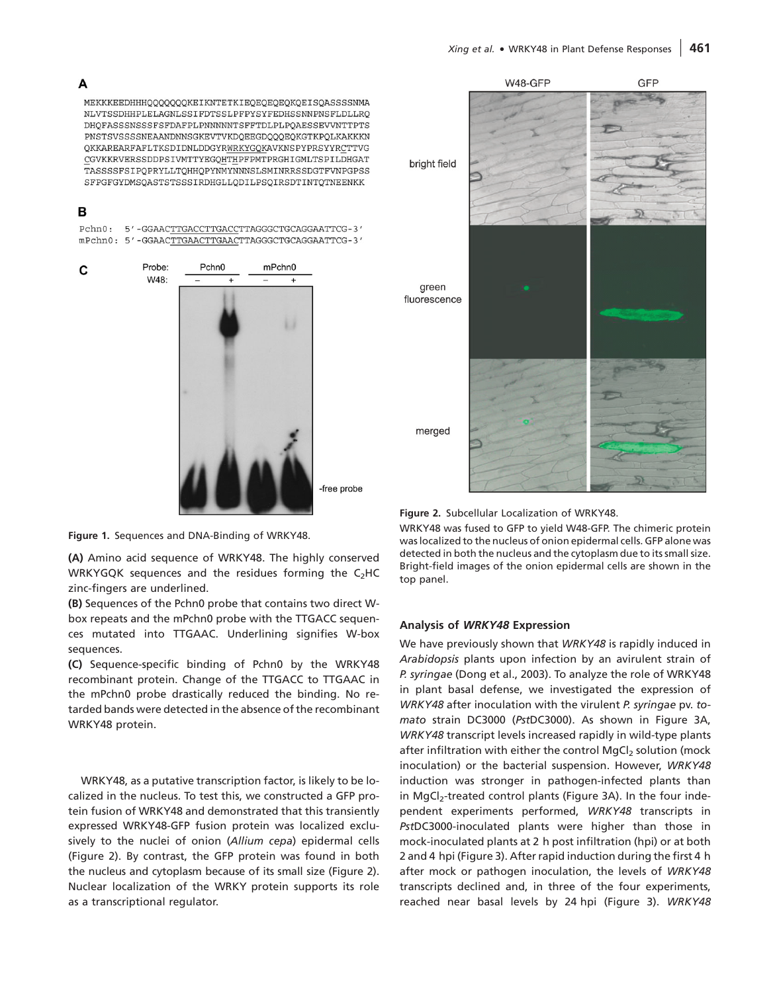#### A

MEKKKEEDHHHQQQQQQQKEIKNTETKIEQEQEQEQKQEISQASSSSNMA NLVTSSDHHPLELAGNLSSIFDTSSLPFPYSYFEDHSSNNPNSFLDLLRO DHQFASSSNSSSFSFDAFPLPNNNNNTSFFTDLPLPQAESSEVVNTTPTS PNSTSVSSSSNEAANDNNSGKEVTVKDQEEGDQQQEQKGTKPQLKAKKKN QKKAREARFAFLTKSDIDNLDDGYRWRKYGQKAVKNSPYPRSYYRCTTVG CGVKKRVERSSDDPSIVMTTYEGQHTHPFPMTPRGHIGMLTSPILDHGAT TASSSSFSIPQPRYLLTQHHQPYNMYNNNSLSMINRRSSDGTFVNPGPSS SFPGFGYDMSQASTSTSSSIRDHGLLQDILPSQIRSDTINTQTNEENKK

#### в

C

Pchn0: 5'-GGAACTTGACCTTGACCTTAGGGCTGCAGGAATTCG-3'

mPchn0: 5'-GGAACTTGAACTTGAACTTAGGGCTGCAGGAATTCG-3' Probe: Pchn<sub>0</sub> mPchn0 W48:



free probe



(A) Amino acid sequence of WRKY48. The highly conserved WRKYGQK sequences and the residues forming the  $C_2$ HC zinc-fingers are underlined.

(B) Sequences of the Pchn0 probe that contains two direct Wbox repeats and the mPchn0 probe with the TTGACC sequences mutated into TTGAAC. Underlining signifies W-box sequences.

(C) Sequence-specific binding of Pchn0 by the WRKY48 recombinant protein. Change of the TTGACC to TTGAAC in the mPchn0 probe drastically reduced the binding. No retarded bands were detected in the absence of the recombinant WRKY48 protein.

WRKY48, as a putative transcription factor, is likely to be localized in the nucleus. To test this, we constructed a GFP protein fusion of WRKY48 and demonstrated that this transiently expressed WRKY48-GFP fusion protein was localized exclusively to the nuclei of onion (Allium cepa) epidermal cells (Figure 2). By contrast, the GFP protein was found in both the nucleus and cytoplasm because of its small size (Figure 2). Nuclear localization of the WRKY protein supports its role as a transcriptional regulator.





WRKY48 was fused to GFP to yield W48-GFP. The chimeric protein was localized to the nucleus of onion epidermal cells. GFP alone was detected in both the nucleus and the cytoplasm due to its small size. Bright-field images of the onion epidermal cells are shown in the top panel.

#### Analysis of WRKY48 Expression

We have previously shown that WRKY48 is rapidly induced in Arabidopsis plants upon infection by an avirulent strain of P. syringae (Dong et al., 2003). To analyze the role of WRKY48 in plant basal defense, we investigated the expression of WRKY48 after inoculation with the virulent P. syringae pv. tomato strain DC3000 (PstDC3000). As shown in Figure 3A, WRKY48 transcript levels increased rapidly in wild-type plants after infiltration with either the control MgCl<sub>2</sub> solution (mock inoculation) or the bacterial suspension. However, WRKY48 induction was stronger in pathogen-infected plants than in MgCl<sub>2</sub>-treated control plants (Figure 3A). In the four independent experiments performed, WRKY48 transcripts in PstDC3000-inoculated plants were higher than those in mock-inoculated plants at 2 h post infiltration (hpi) or at both 2 and 4 hpi (Figure 3). After rapid induction during the first 4 h after mock or pathogen inoculation, the levels of WRKY48 transcripts declined and, in three of the four experiments, reached near basal levels by 24 hpi (Figure 3). WRKY48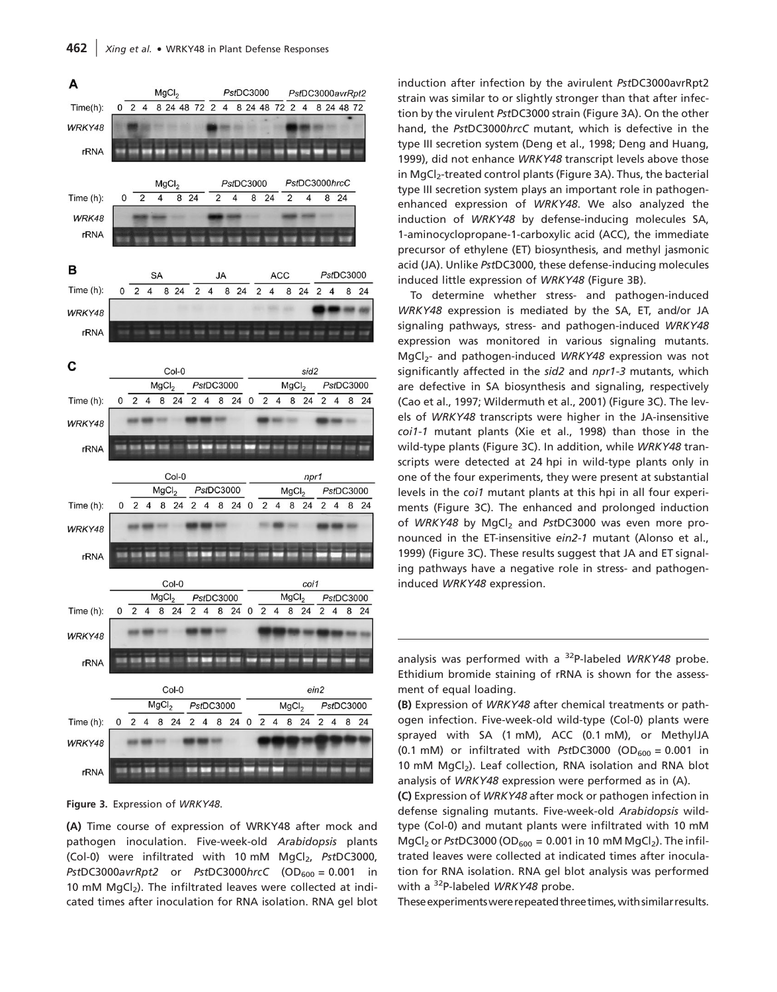

Figure 3. Expression of WRKY48.

(A) Time course of expression of WRKY48 after mock and pathogen inoculation. Five-week-old Arabidopsis plants (Col-0) were infiltrated with 10 mM  $MgCl<sub>2</sub>$ , PstDC3000, PstDC3000avrRpt2 or PstDC3000hrcC  $(OD_{600} = 0.001$  in 10 mM  $MgCl<sub>2</sub>$ ). The infiltrated leaves were collected at indicated times after inoculation for RNA isolation. RNA gel blot induction after infection by the avirulent PstDC3000avrRpt2 strain was similar to or slightly stronger than that after infection by the virulent PstDC3000 strain (Figure 3A). On the other hand, the PstDC3000hrcC mutant, which is defective in the type III secretion system (Deng et al., 1998; Deng and Huang, 1999), did not enhance WRKY48 transcript levels above those in MgCl<sub>2</sub>-treated control plants (Figure 3A). Thus, the bacterial type III secretion system plays an important role in pathogenenhanced expression of WRKY48. We also analyzed the induction of WRKY48 by defense-inducing molecules SA, 1-aminocyclopropane-1-carboxylic acid (ACC), the immediate precursor of ethylene (ET) biosynthesis, and methyl jasmonic acid (JA). Unlike PstDC3000, these defense-inducing molecules induced little expression of WRKY48 (Figure 3B).

To determine whether stress- and pathogen-induced WRKY48 expression is mediated by the SA, ET, and/or JA signaling pathways, stress- and pathogen-induced WRKY48 expression was monitored in various signaling mutants. MgCl<sub>2</sub>- and pathogen-induced WRKY48 expression was not significantly affected in the sid2 and npr1-3 mutants, which are defective in SA biosynthesis and signaling, respectively (Cao et al., 1997; Wildermuth et al., 2001) (Figure 3C). The levels of WRKY48 transcripts were higher in the JA-insensitive coi1-1 mutant plants (Xie et al., 1998) than those in the wild-type plants (Figure 3C). In addition, while WRKY48 transcripts were detected at 24 hpi in wild-type plants only in one of the four experiments, they were present at substantial levels in the coi1 mutant plants at this hpi in all four experiments (Figure 3C). The enhanced and prolonged induction of WRKY48 by MgCl<sub>2</sub> and PstDC3000 was even more pronounced in the ET-insensitive ein2-1 mutant (Alonso et al., 1999) (Figure 3C). These results suggest that JA and ET signaling pathways have a negative role in stress- and pathogeninduced WRKY48 expression.

analysis was performed with a  $32P$ -labeled WRKY48 probe. Ethidium bromide staining of rRNA is shown for the assessment of equal loading.

(B) Expression of WRKY48 after chemical treatments or pathogen infection. Five-week-old wild-type (Col-0) plants were sprayed with SA (1 mM), ACC (0.1 mM), or MethylJA (0.1 mM) or infiltrated with PstDC3000 (OD $_{600}$  = 0.001 in 10 mM MgCl<sub>2</sub>). Leaf collection, RNA isolation and RNA blot analysis of WRKY48 expression were performed as in (A).

(C) Expression of WRKY48 after mock or pathogen infection in defense signaling mutants. Five-week-old Arabidopsis wildtype (Col-0) and mutant plants were infiltrated with 10 mM MgCl<sub>2</sub> or PstDC3000 (OD<sub>600</sub> = 0.001 in 10 mM MgCl<sub>2</sub>). The infiltrated leaves were collected at indicated times after inoculation for RNA isolation. RNA gel blot analysis was performed with a  $32P$ -labeled WRKY48 probe.

These experiments were repeated three times, with similar results.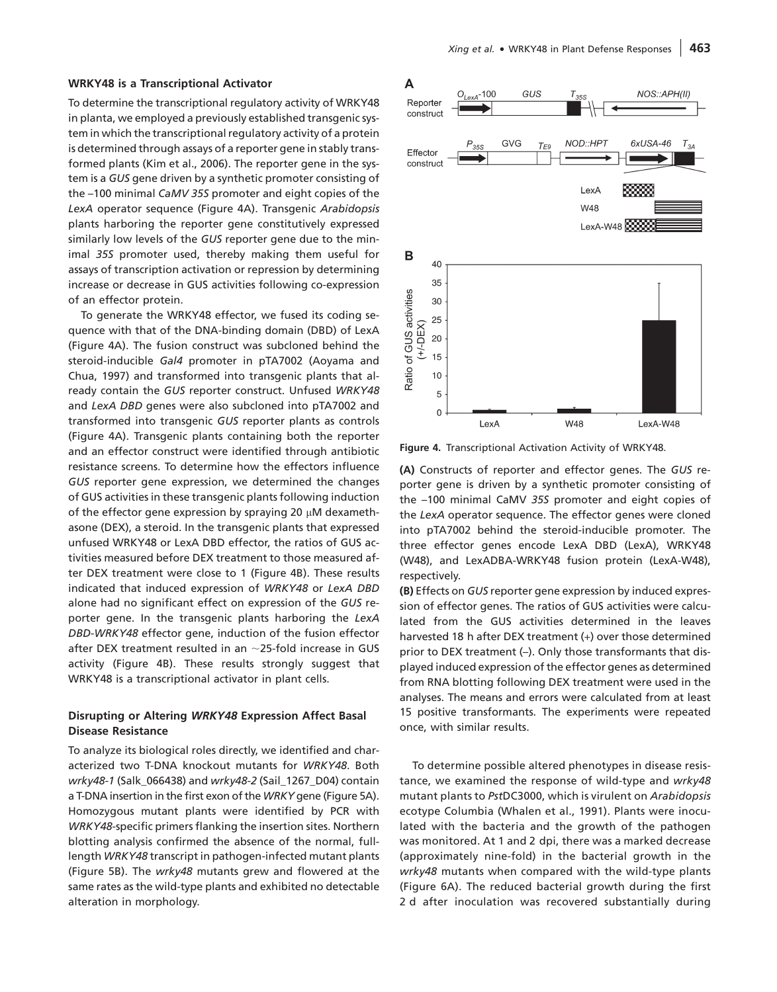#### WRKY48 is a Transcriptional Activator

To determine the transcriptional regulatory activity of WRKY48 in planta, we employed a previously established transgenic system in which the transcriptional regulatory activity of a protein is determined through assays of a reporter gene in stably transformed plants (Kim et al., 2006). The reporter gene in the system is a GUS gene driven by a synthetic promoter consisting of the –100 minimal CaMV 35S promoter and eight copies of the LexA operator sequence (Figure 4A). Transgenic Arabidopsis plants harboring the reporter gene constitutively expressed similarly low levels of the GUS reporter gene due to the minimal 35S promoter used, thereby making them useful for assays of transcription activation or repression by determining increase or decrease in GUS activities following co-expression of an effector protein.

To generate the WRKY48 effector, we fused its coding sequence with that of the DNA-binding domain (DBD) of LexA (Figure 4A). The fusion construct was subcloned behind the steroid-inducible Gal4 promoter in pTA7002 (Aoyama and Chua, 1997) and transformed into transgenic plants that already contain the GUS reporter construct. Unfused WRKY48 and LexA DBD genes were also subcloned into pTA7002 and transformed into transgenic GUS reporter plants as controls (Figure 4A). Transgenic plants containing both the reporter and an effector construct were identified through antibiotic resistance screens. To determine how the effectors influence GUS reporter gene expression, we determined the changes of GUS activities in these transgenic plants following induction of the effector gene expression by spraying 20  $\mu$ M dexamethasone (DEX), a steroid. In the transgenic plants that expressed unfused WRKY48 or LexA DBD effector, the ratios of GUS activities measured before DEX treatment to those measured after DEX treatment were close to 1 (Figure 4B). These results indicated that induced expression of WRKY48 or LexA DBD alone had no significant effect on expression of the GUS reporter gene. In the transgenic plants harboring the LexA DBD-WRKY48 effector gene, induction of the fusion effector after DEX treatment resulted in an  $\sim$ 25-fold increase in GUS activity (Figure 4B). These results strongly suggest that WRKY48 is a transcriptional activator in plant cells.

#### Disrupting or Altering WRKY48 Expression Affect Basal Disease Resistance

To analyze its biological roles directly, we identified and characterized two T-DNA knockout mutants for WRKY48. Both wrky48-1 (Salk\_066438) and wrky48-2 (Sail\_1267\_D04) contain a T-DNA insertion in the first exon of the WRKY gene (Figure 5A). Homozygous mutant plants were identified by PCR with WRKY48-specific primers flanking the insertion sites. Northern blotting analysis confirmed the absence of the normal, fulllength WRKY48 transcript in pathogen-infected mutant plants (Figure 5B). The wrky48 mutants grew and flowered at the same rates as the wild-type plants and exhibited no detectable alteration in morphology.



Figure 4. Transcriptional Activation Activity of WRKY48.

(A) Constructs of reporter and effector genes. The GUS reporter gene is driven by a synthetic promoter consisting of the –100 minimal CaMV 35S promoter and eight copies of the LexA operator sequence. The effector genes were cloned into pTA7002 behind the steroid-inducible promoter. The three effector genes encode LexA DBD (LexA), WRKY48 (W48), and LexADBA-WRKY48 fusion protein (LexA-W48), respectively.

(B) Effects on GUS reporter gene expression by induced expression of effector genes. The ratios of GUS activities were calculated from the GUS activities determined in the leaves harvested 18 h after DEX treatment (*+*) over those determined prior to DEX treatment (–). Only those transformants that displayed induced expression of the effector genes as determined from RNA blotting following DEX treatment were used in the analyses. The means and errors were calculated from at least 15 positive transformants. The experiments were repeated once, with similar results.

To determine possible altered phenotypes in disease resistance, we examined the response of wild-type and wrky48 mutant plants to PstDC3000, which is virulent on Arabidopsis ecotype Columbia (Whalen et al., 1991). Plants were inoculated with the bacteria and the growth of the pathogen was monitored. At 1 and 2 dpi, there was a marked decrease (approximately nine-fold) in the bacterial growth in the wrky48 mutants when compared with the wild-type plants (Figure 6A). The reduced bacterial growth during the first 2 d after inoculation was recovered substantially during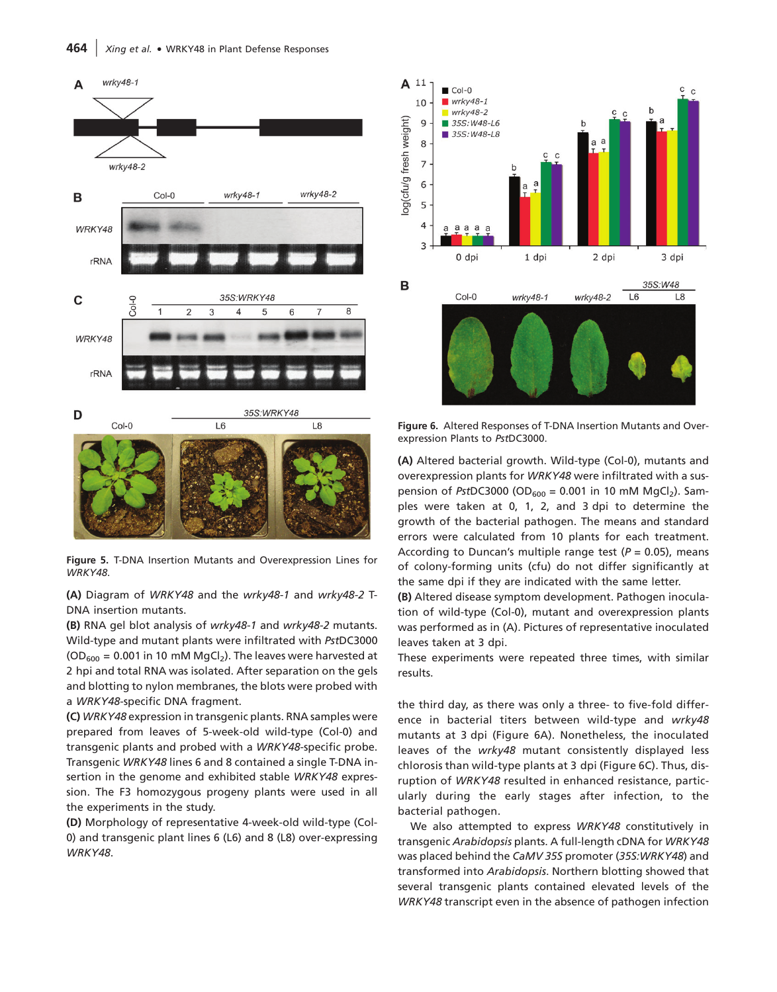

Figure 5. T-DNA Insertion Mutants and Overexpression Lines for WRKY48.

(A) Diagram of WRKY48 and the wrky48-1 and wrky48-2 T-DNA insertion mutants.

(B) RNA gel blot analysis of wrky48-1 and wrky48-2 mutants. Wild-type and mutant plants were infiltrated with PstDC3000 ( $OD_{600} = 0.001$  in 10 mM MgCl<sub>2</sub>). The leaves were harvested at 2 hpi and total RNA was isolated. After separation on the gels and blotting to nylon membranes, the blots were probed with a WRKY48-specific DNA fragment.

(C) WRKY48 expression in transgenic plants. RNA samples were prepared from leaves of 5-week-old wild-type (Col-0) and transgenic plants and probed with a WRKY48-specific probe. Transgenic WRKY48 lines 6 and 8 contained a single T-DNA insertion in the genome and exhibited stable WRKY48 expression. The F3 homozygous progeny plants were used in all the experiments in the study.

(D) Morphology of representative 4-week-old wild-type (Col-0) and transgenic plant lines 6 (L6) and 8 (L8) over-expressing WRKY48.



Figure 6. Altered Responses of T-DNA Insertion Mutants and Overexpression Plants to PstDC3000.

(A) Altered bacterial growth. Wild-type (Col-0), mutants and overexpression plants for WRKY48 were infiltrated with a suspension of PstDC3000 (OD<sub>600</sub> = 0.001 in 10 mM MgCl<sub>2</sub>). Samples were taken at 0, 1, 2, and 3 dpi to determine the growth of the bacterial pathogen. The means and standard errors were calculated from 10 plants for each treatment. According to Duncan's multiple range test ( $P = 0.05$ ), means of colony-forming units (cfu) do not differ significantly at the same dpi if they are indicated with the same letter.

(B) Altered disease symptom development. Pathogen inoculation of wild-type (Col-0), mutant and overexpression plants was performed as in (A). Pictures of representative inoculated leaves taken at 3 dpi.

These experiments were repeated three times, with similar results.

the third day, as there was only a three- to five-fold difference in bacterial titers between wild-type and wrky48 mutants at 3 dpi (Figure 6A). Nonetheless, the inoculated leaves of the wrky48 mutant consistently displayed less chlorosis than wild-type plants at 3 dpi (Figure 6C). Thus, disruption of WRKY48 resulted in enhanced resistance, particularly during the early stages after infection, to the bacterial pathogen.

We also attempted to express WRKY48 constitutively in transgenic Arabidopsis plants. A full-length cDNA for WRKY48 was placed behind the CaMV 35S promoter (35S:WRKY48) and transformed into Arabidopsis. Northern blotting showed that several transgenic plants contained elevated levels of the WRKY48 transcript even in the absence of pathogen infection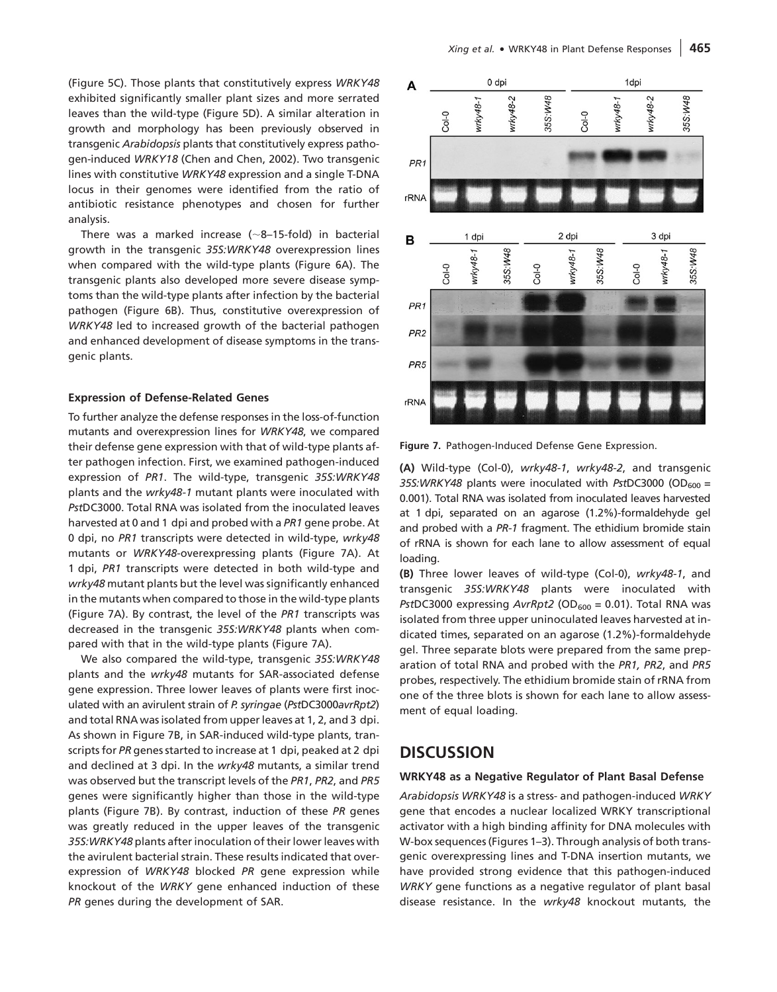(Figure 5C). Those plants that constitutively express WRKY48 exhibited significantly smaller plant sizes and more serrated leaves than the wild-type (Figure 5D). A similar alteration in growth and morphology has been previously observed in transgenic Arabidopsis plants that constitutively express pathogen-induced WRKY18 (Chen and Chen, 2002). Two transgenic lines with constitutive WRKY48 expression and a single T-DNA locus in their genomes were identified from the ratio of antibiotic resistance phenotypes and chosen for further analysis.

There was a marked increase ( $\sim$ 8-15-fold) in bacterial growth in the transgenic 35S:WRKY48 overexpression lines when compared with the wild-type plants (Figure 6A). The transgenic plants also developed more severe disease symptoms than the wild-type plants after infection by the bacterial pathogen (Figure 6B). Thus, constitutive overexpression of WRKY48 led to increased growth of the bacterial pathogen and enhanced development of disease symptoms in the transgenic plants.

#### Expression of Defense-Related Genes

To further analyze the defense responses in the loss-of-function mutants and overexpression lines for WRKY48, we compared their defense gene expression with that of wild-type plants after pathogen infection. First, we examined pathogen-induced expression of PR1. The wild-type, transgenic 35S:WRKY48 plants and the wrky48-1 mutant plants were inoculated with PstDC3000. Total RNA was isolated from the inoculated leaves harvested at 0 and 1 dpi and probed with a PR1 gene probe. At 0 dpi, no PR1 transcripts were detected in wild-type, wrky48 mutants or WRKY48-overexpressing plants (Figure 7A). At 1 dpi, PR1 transcripts were detected in both wild-type and wrky48 mutant plants but the level was significantly enhanced in the mutants when compared to those in the wild-type plants (Figure 7A). By contrast, the level of the PR1 transcripts was decreased in the transgenic 35S:WRKY48 plants when compared with that in the wild-type plants (Figure 7A).

We also compared the wild-type, transgenic 35S:WRKY48 plants and the wrky48 mutants for SAR-associated defense gene expression. Three lower leaves of plants were first inoculated with an avirulent strain of P. syringae (PstDC3000avrRpt2) and total RNA was isolated from upper leaves at 1, 2, and 3 dpi. As shown in Figure 7B, in SAR-induced wild-type plants, transcripts for PR genes started to increase at 1 dpi, peaked at 2 dpi and declined at 3 dpi. In the wrky48 mutants, a similar trend was observed but the transcript levels of the PR1, PR2, and PR5 genes were significantly higher than those in the wild-type plants (Figure 7B). By contrast, induction of these PR genes was greatly reduced in the upper leaves of the transgenic 35S:WRKY48 plants after inoculation of their lower leaves with the avirulent bacterial strain. These results indicated that overexpression of WRKY48 blocked PR gene expression while knockout of the WRKY gene enhanced induction of these PR genes during the development of SAR.



Figure 7. Pathogen-Induced Defense Gene Expression.

(A) Wild-type (Col-0), wrky48-1, wrky48-2, and transgenic 35S:WRKY48 plants were inoculated with PstDC3000 (OD $_{600}$  = 0.001). Total RNA was isolated from inoculated leaves harvested at 1 dpi, separated on an agarose (1.2%)-formaldehyde gel and probed with a PR-1 fragment. The ethidium bromide stain of rRNA is shown for each lane to allow assessment of equal loading.

(B) Three lower leaves of wild-type (Col-0), wrky48-1, and transgenic 35S:WRKY48 plants were inoculated with PstDC3000 expressing  $AvrRpt2$  (OD<sub>600</sub> = 0.01). Total RNA was isolated from three upper uninoculated leaves harvested at indicated times, separated on an agarose (1.2%)-formaldehyde gel. Three separate blots were prepared from the same preparation of total RNA and probed with the PR1, PR2, and PR5 probes, respectively. The ethidium bromide stain of rRNA from one of the three blots is shown for each lane to allow assessment of equal loading.

# **DISCUSSION**

#### WRKY48 as a Negative Regulator of Plant Basal Defense

Arabidopsis WRKY48 is a stress- and pathogen-induced WRKY gene that encodes a nuclear localized WRKY transcriptional activator with a high binding affinity for DNA molecules with W-box sequences (Figures 1–3). Through analysis of both transgenic overexpressing lines and T-DNA insertion mutants, we have provided strong evidence that this pathogen-induced WRKY gene functions as a negative regulator of plant basal disease resistance. In the wrky48 knockout mutants, the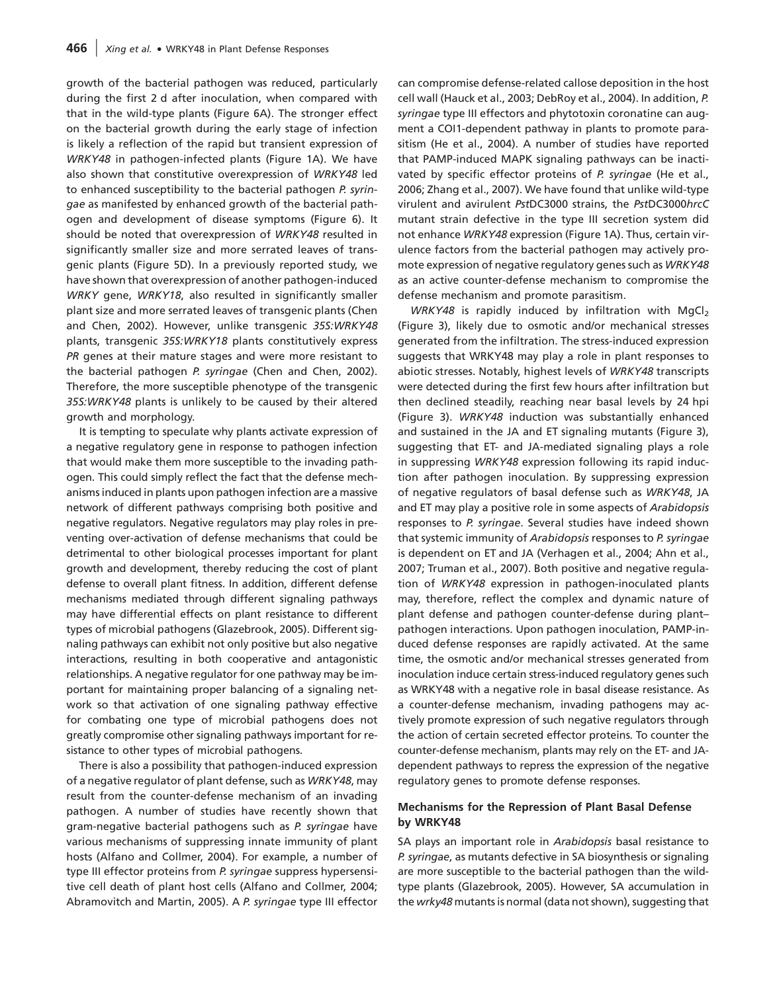growth of the bacterial pathogen was reduced, particularly during the first 2 d after inoculation, when compared with that in the wild-type plants (Figure 6A). The stronger effect on the bacterial growth during the early stage of infection is likely a reflection of the rapid but transient expression of WRKY48 in pathogen-infected plants (Figure 1A). We have also shown that constitutive overexpression of WRKY48 led to enhanced susceptibility to the bacterial pathogen P. syringae as manifested by enhanced growth of the bacterial pathogen and development of disease symptoms (Figure 6). It should be noted that overexpression of WRKY48 resulted in significantly smaller size and more serrated leaves of transgenic plants (Figure 5D). In a previously reported study, we have shown that overexpression of another pathogen-induced WRKY gene, WRKY18, also resulted in significantly smaller plant size and more serrated leaves of transgenic plants (Chen and Chen, 2002). However, unlike transgenic 35S:WRKY48 plants, transgenic 35S:WRKY18 plants constitutively express PR genes at their mature stages and were more resistant to the bacterial pathogen P. syringae (Chen and Chen, 2002). Therefore, the more susceptible phenotype of the transgenic 35S:WRKY48 plants is unlikely to be caused by their altered growth and morphology.

It is tempting to speculate why plants activate expression of a negative regulatory gene in response to pathogen infection that would make them more susceptible to the invading pathogen. This could simply reflect the fact that the defense mechanisms induced in plants upon pathogen infection are a massive network of different pathways comprising both positive and negative regulators. Negative regulators may play roles in preventing over-activation of defense mechanisms that could be detrimental to other biological processes important for plant growth and development, thereby reducing the cost of plant defense to overall plant fitness. In addition, different defense mechanisms mediated through different signaling pathways may have differential effects on plant resistance to different types of microbial pathogens (Glazebrook, 2005). Different signaling pathways can exhibit not only positive but also negative interactions, resulting in both cooperative and antagonistic relationships. A negative regulator for one pathway may be important for maintaining proper balancing of a signaling network so that activation of one signaling pathway effective for combating one type of microbial pathogens does not greatly compromise other signaling pathways important for resistance to other types of microbial pathogens.

There is also a possibility that pathogen-induced expression of a negative regulator of plant defense, such as WRKY48, may result from the counter-defense mechanism of an invading pathogen. A number of studies have recently shown that gram-negative bacterial pathogens such as P. syringae have various mechanisms of suppressing innate immunity of plant hosts (Alfano and Collmer, 2004). For example, a number of type III effector proteins from P. syringae suppress hypersensitive cell death of plant host cells (Alfano and Collmer, 2004; Abramovitch and Martin, 2005). A P. syringae type III effector

can compromise defense-related callose deposition in the host cell wall (Hauck et al., 2003; DebRoy et al., 2004). In addition, P. syringae type III effectors and phytotoxin coronatine can augment a COI1-dependent pathway in plants to promote parasitism (He et al., 2004). A number of studies have reported that PAMP-induced MAPK signaling pathways can be inactivated by specific effector proteins of P. syringae (He et al., 2006; Zhang et al., 2007). We have found that unlike wild-type virulent and avirulent PstDC3000 strains, the PstDC3000hrcC mutant strain defective in the type III secretion system did not enhance WRKY48 expression (Figure 1A). Thus, certain virulence factors from the bacterial pathogen may actively promote expression of negative regulatory genes such as WRKY48 as an active counter-defense mechanism to compromise the defense mechanism and promote parasitism.

WRKY48 is rapidly induced by infiltration with MgCl<sub>2</sub> (Figure 3), likely due to osmotic and/or mechanical stresses generated from the infiltration. The stress-induced expression suggests that WRKY48 may play a role in plant responses to abiotic stresses. Notably, highest levels of WRKY48 transcripts were detected during the first few hours after infiltration but then declined steadily, reaching near basal levels by 24 hpi (Figure 3). WRKY48 induction was substantially enhanced and sustained in the JA and ET signaling mutants (Figure 3), suggesting that ET- and JA-mediated signaling plays a role in suppressing WRKY48 expression following its rapid induction after pathogen inoculation. By suppressing expression of negative regulators of basal defense such as WRKY48, JA and ET may play a positive role in some aspects of Arabidopsis responses to P. syringae. Several studies have indeed shown that systemic immunity of Arabidopsis responses to P. syringae is dependent on ET and JA (Verhagen et al., 2004; Ahn et al., 2007; Truman et al., 2007). Both positive and negative regulation of WRKY48 expression in pathogen-inoculated plants may, therefore, reflect the complex and dynamic nature of plant defense and pathogen counter-defense during plant– pathogen interactions. Upon pathogen inoculation, PAMP-induced defense responses are rapidly activated. At the same time, the osmotic and/or mechanical stresses generated from inoculation induce certain stress-induced regulatory genes such as WRKY48 with a negative role in basal disease resistance. As a counter-defense mechanism, invading pathogens may actively promote expression of such negative regulators through the action of certain secreted effector proteins. To counter the counter-defense mechanism, plants may rely on the ET- and JAdependent pathways to repress the expression of the negative regulatory genes to promote defense responses.

## Mechanisms for the Repression of Plant Basal Defense by WRKY48

SA plays an important role in Arabidopsis basal resistance to P. syringae, as mutants defective in SA biosynthesis or signaling are more susceptible to the bacterial pathogen than the wildtype plants (Glazebrook, 2005). However, SA accumulation in the wrky48 mutants is normal (data not shown), suggesting that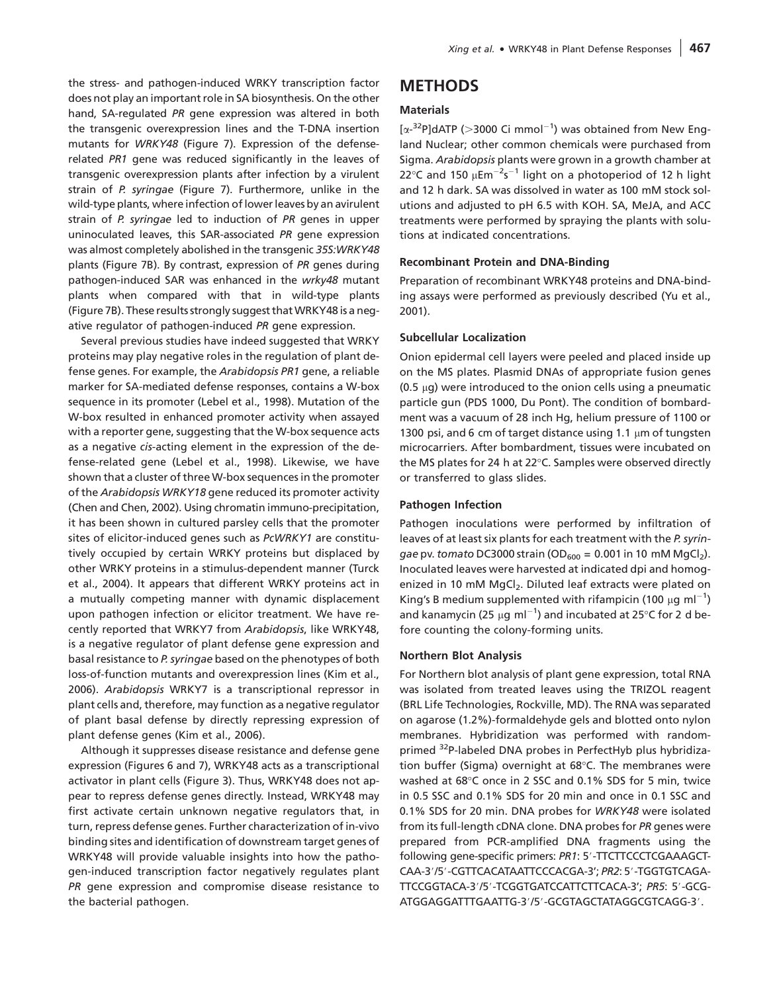the stress- and pathogen-induced WRKY transcription factor does not play an important role in SA biosynthesis. On the other hand, SA-regulated PR gene expression was altered in both the transgenic overexpression lines and the T-DNA insertion mutants for WRKY48 (Figure 7). Expression of the defenserelated PR1 gene was reduced significantly in the leaves of transgenic overexpression plants after infection by a virulent strain of P. syringae (Figure 7). Furthermore, unlike in the wild-type plants, where infection of lower leaves by an avirulent strain of P. syringae led to induction of PR genes in upper uninoculated leaves, this SAR-associated PR gene expression was almost completely abolished in the transgenic 35S:WRKY48 plants (Figure 7B). By contrast, expression of PR genes during pathogen-induced SAR was enhanced in the wrky48 mutant plants when compared with that in wild-type plants (Figure 7B). These results strongly suggest that WRKY48 is a negative regulator of pathogen-induced PR gene expression.

Several previous studies have indeed suggested that WRKY proteins may play negative roles in the regulation of plant defense genes. For example, the Arabidopsis PR1 gene, a reliable marker for SA-mediated defense responses, contains a W-box sequence in its promoter (Lebel et al., 1998). Mutation of the W-box resulted in enhanced promoter activity when assayed with a reporter gene, suggesting that the W-box sequence acts as a negative cis-acting element in the expression of the defense-related gene (Lebel et al., 1998). Likewise, we have shown that a cluster of three W-box sequences in the promoter of the Arabidopsis WRKY18 gene reduced its promoter activity (Chen and Chen, 2002). Using chromatin immuno-precipitation, it has been shown in cultured parsley cells that the promoter sites of elicitor-induced genes such as PcWRKY1 are constitutively occupied by certain WRKY proteins but displaced by other WRKY proteins in a stimulus-dependent manner (Turck et al., 2004). It appears that different WRKY proteins act in a mutually competing manner with dynamic displacement upon pathogen infection or elicitor treatment. We have recently reported that WRKY7 from Arabidopsis, like WRKY48, is a negative regulator of plant defense gene expression and basal resistance to P. syringae based on the phenotypes of both loss-of-function mutants and overexpression lines (Kim et al., 2006). Arabidopsis WRKY7 is a transcriptional repressor in plant cells and, therefore, may function as a negative regulator of plant basal defense by directly repressing expression of plant defense genes (Kim et al., 2006).

Although it suppresses disease resistance and defense gene expression (Figures 6 and 7), WRKY48 acts as a transcriptional activator in plant cells (Figure 3). Thus, WRKY48 does not appear to repress defense genes directly. Instead, WRKY48 may first activate certain unknown negative regulators that, in turn, repress defense genes. Further characterization of in-vivo binding sites and identification of downstream target genes of WRKY48 will provide valuable insights into how the pathogen-induced transcription factor negatively regulates plant PR gene expression and compromise disease resistance to the bacterial pathogen.

# METHODS

#### **Materials**

 $[\alpha^{-32}P]$ dATP (>3000 Ci mmol<sup>-1</sup>) was obtained from New England Nuclear; other common chemicals were purchased from Sigma. Arabidopsis plants were grown in a growth chamber at 22°C and 150  $\mu$ Em<sup>-2</sup>s<sup>-1</sup> light on a photoperiod of 12 h light and 12 h dark. SA was dissolved in water as 100 mM stock solutions and adjusted to pH 6.5 with KOH. SA, MeJA, and ACC treatments were performed by spraying the plants with solutions at indicated concentrations.

#### Recombinant Protein and DNA-Binding

Preparation of recombinant WRKY48 proteins and DNA-binding assays were performed as previously described (Yu et al., 2001).

#### Subcellular Localization

Onion epidermal cell layers were peeled and placed inside up on the MS plates. Plasmid DNAs of appropriate fusion genes  $(0.5 \mu q)$  were introduced to the onion cells using a pneumatic particle gun (PDS 1000, Du Pont). The condition of bombardment was a vacuum of 28 inch Hg, helium pressure of 1100 or 1300 psi, and 6 cm of target distance using 1.1  $\mu$ m of tungsten microcarriers. After bombardment, tissues were incubated on the MS plates for 24 h at 22 $\degree$ C. Samples were observed directly or transferred to glass slides.

#### Pathogen Infection

Pathogen inoculations were performed by infiltration of leaves of at least six plants for each treatment with the P. syringae pv. tomato DC3000 strain (OD $_{600}$  = 0.001 in 10 mM MgCl<sub>2</sub>). Inoculated leaves were harvested at indicated dpi and homogenized in 10 mM MgCl<sub>2</sub>. Diluted leaf extracts were plated on King's B medium supplemented with rifampicin (100  $\mu$ g ml<sup>-1</sup>) and kanamycin (25  $\mu$ g ml $^{-1}$ ) and incubated at 25°C for 2 d before counting the colony-forming units.

#### Northern Blot Analysis

For Northern blot analysis of plant gene expression, total RNA was isolated from treated leaves using the TRIZOL reagent (BRL Life Technologies, Rockville, MD). The RNA was separated on agarose (1.2%)-formaldehyde gels and blotted onto nylon membranes. Hybridization was performed with randomprimed 32P-labeled DNA probes in PerfectHyb plus hybridization buffer (Sigma) overnight at  $68^{\circ}$ C. The membranes were washed at 68°C once in 2 SSC and 0.1% SDS for 5 min, twice in 0.5 SSC and 0.1% SDS for 20 min and once in 0.1 SSC and 0.1% SDS for 20 min. DNA probes for WRKY48 were isolated from its full-length cDNA clone. DNA probes for PR genes were prepared from PCR-amplified DNA fragments using the following gene-specific primers: PR1: 5'-TTCTTCCCTCGAAAGCT-CAA-3'/5'-CGTTCACATAATTCCCACGA-3'; PR2: 5'-TGGTGTCAGA-TTCCGGTACA-3'/5'-TCGGTGATCCATTCTTCACA-3'; PR5: 5'-GCG-ATGGAGGATTTGAATTG-3'/5'-GCGTAGCTATAGGCGTCAGG-3'.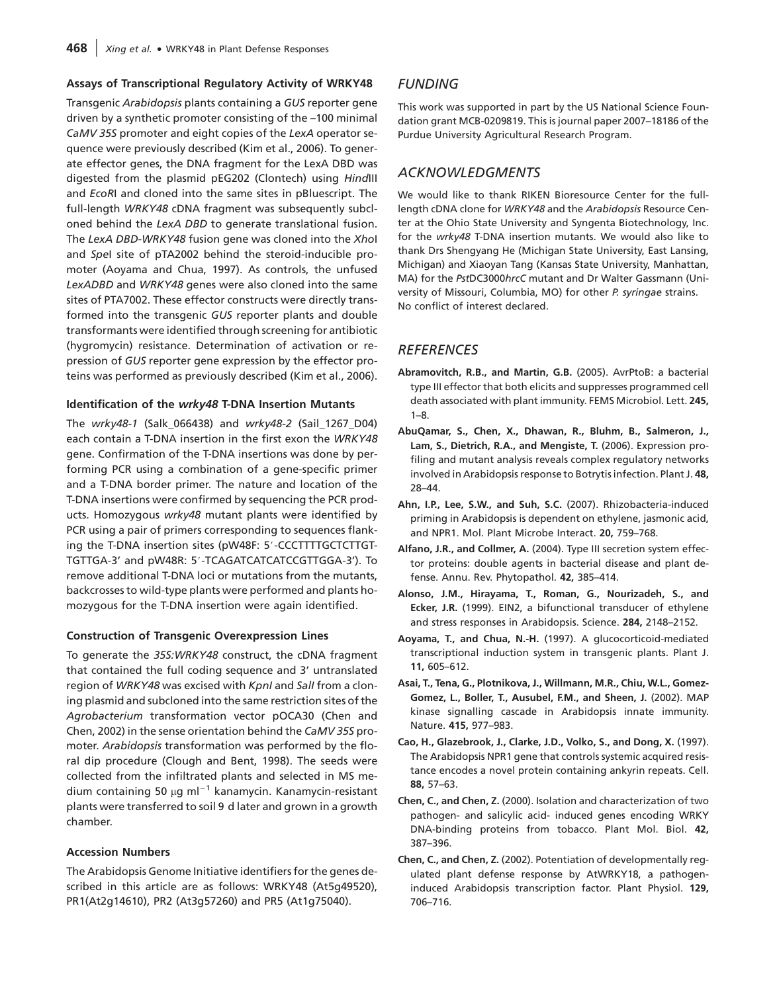#### Assays of Transcriptional Regulatory Activity of WRKY48

Transgenic Arabidopsis plants containing a GUS reporter gene driven by a synthetic promoter consisting of the –100 minimal CaMV 35S promoter and eight copies of the LexA operator sequence were previously described (Kim et al., 2006). To generate effector genes, the DNA fragment for the LexA DBD was digested from the plasmid pEG202 (Clontech) using HindIII and EcoRI and cloned into the same sites in pBluescript. The full-length WRKY48 cDNA fragment was subsequently subcloned behind the LexA DBD to generate translational fusion. The LexA DBD-WRKY48 fusion gene was cloned into the Xhol and SpeI site of pTA2002 behind the steroid-inducible promoter (Aoyama and Chua, 1997). As controls, the unfused LexADBD and WRKY48 genes were also cloned into the same sites of PTA7002. These effector constructs were directly transformed into the transgenic GUS reporter plants and double transformants were identified through screening for antibiotic (hygromycin) resistance. Determination of activation or repression of GUS reporter gene expression by the effector proteins was performed as previously described (Kim et al., 2006).

#### Identification of the wrky48 T-DNA Insertion Mutants

The wrky48-1 (Salk\_066438) and wrky48-2 (Sail\_1267\_D04) each contain a T-DNA insertion in the first exon the WRKY48 gene. Confirmation of the T-DNA insertions was done by performing PCR using a combination of a gene-specific primer and a T-DNA border primer. The nature and location of the T-DNA insertions were confirmed by sequencing the PCR products. Homozygous wrky48 mutant plants were identified by PCR using a pair of primers corresponding to sequences flanking the T-DNA insertion sites (pW48F: 5'-CCCTTTTGCTCTTGT-TGTTGA-3' and pW48R: 5'-TCAGATCATCATCCGTTGGA-3'). To remove additional T-DNA loci or mutations from the mutants, backcrosses to wild-type plants were performed and plants homozygous for the T-DNA insertion were again identified.

#### Construction of Transgenic Overexpression Lines

To generate the 35S:WRKY48 construct, the cDNA fragment that contained the full coding sequence and 3' untranslated region of WRKY48 was excised with KpnI and SalI from a cloning plasmid and subcloned into the same restriction sites of the Agrobacterium transformation vector pOCA30 (Chen and Chen, 2002) in the sense orientation behind the CaMV 35S promoter. Arabidopsis transformation was performed by the floral dip procedure (Clough and Bent, 1998). The seeds were collected from the infiltrated plants and selected in MS medium containing 50  $\mu$ g ml<sup>-1</sup> kanamycin. Kanamycin-resistant plants were transferred to soil 9 d later and grown in a growth chamber.

#### Accession Numbers

The Arabidopsis Genome Initiative identifiers for the genes described in this article are as follows: WRKY48 (At5g49520), PR1(At2g14610), PR2 (At3g57260) and PR5 (At1g75040).

## **FUNDING**

This work was supported in part by the US National Science Foundation grant MCB-0209819. This is journal paper 2007–18186 of the Purdue University Agricultural Research Program.

## ACKNOWLEDGMENTS

We would like to thank RIKEN Bioresource Center for the fulllength cDNA clone for WRKY48 and the Arabidopsis Resource Center at the Ohio State University and Syngenta Biotechnology, Inc. for the wrky48 T-DNA insertion mutants. We would also like to thank Drs Shengyang He (Michigan State University, East Lansing, Michigan) and Xiaoyan Tang (Kansas State University, Manhattan, MA) for the PstDC3000hrcC mutant and Dr Walter Gassmann (University of Missouri, Columbia, MO) for other P. syringae strains. No conflict of interest declared.

## **REFERENCES**

- Abramovitch, R.B., and Martin, G.B. (2005). AvrPtoB: a bacterial type III effector that both elicits and suppresses programmed cell death associated with plant immunity. FEMS Microbiol. Lett. 245, 1–8.
- AbuQamar, S., Chen, X., Dhawan, R., Bluhm, B., Salmeron, J., Lam, S., Dietrich, R.A., and Mengiste, T. (2006). Expression profiling and mutant analysis reveals complex regulatory networks involved in Arabidopsis response to Botrytis infection. Plant J. 48, 28–44.
- Ahn, I.P., Lee, S.W., and Suh, S.C. (2007). Rhizobacteria-induced priming in Arabidopsis is dependent on ethylene, jasmonic acid, and NPR1. Mol. Plant Microbe Interact. 20, 759–768.
- Alfano, J.R., and Collmer, A. (2004). Type III secretion system effector proteins: double agents in bacterial disease and plant defense. Annu. Rev. Phytopathol. 42, 385–414.
- Alonso, J.M., Hirayama, T., Roman, G., Nourizadeh, S., and Ecker, J.R. (1999). EIN2, a bifunctional transducer of ethylene and stress responses in Arabidopsis. Science. 284, 2148–2152.
- Aoyama, T., and Chua, N.-H. (1997). A glucocorticoid-mediated transcriptional induction system in transgenic plants. Plant J. 11, 605–612.
- Asai, T., Tena, G., Plotnikova, J., Willmann, M.R., Chiu, W.L., Gomez-Gomez, L., Boller, T., Ausubel, F.M., and Sheen, J. (2002). MAP kinase signalling cascade in Arabidopsis innate immunity. Nature. 415, 977–983.
- Cao, H., Glazebrook, J., Clarke, J.D., Volko, S., and Dong, X. (1997). The Arabidopsis NPR1 gene that controls systemic acquired resistance encodes a novel protein containing ankyrin repeats. Cell. 88, 57–63.
- Chen, C., and Chen, Z. (2000). Isolation and characterization of two pathogen- and salicylic acid- induced genes encoding WRKY DNA-binding proteins from tobacco. Plant Mol. Biol. 42, 387–396.
- Chen, C., and Chen, Z. (2002). Potentiation of developmentally regulated plant defense response by AtWRKY18, a pathogeninduced Arabidopsis transcription factor. Plant Physiol. 129, 706–716.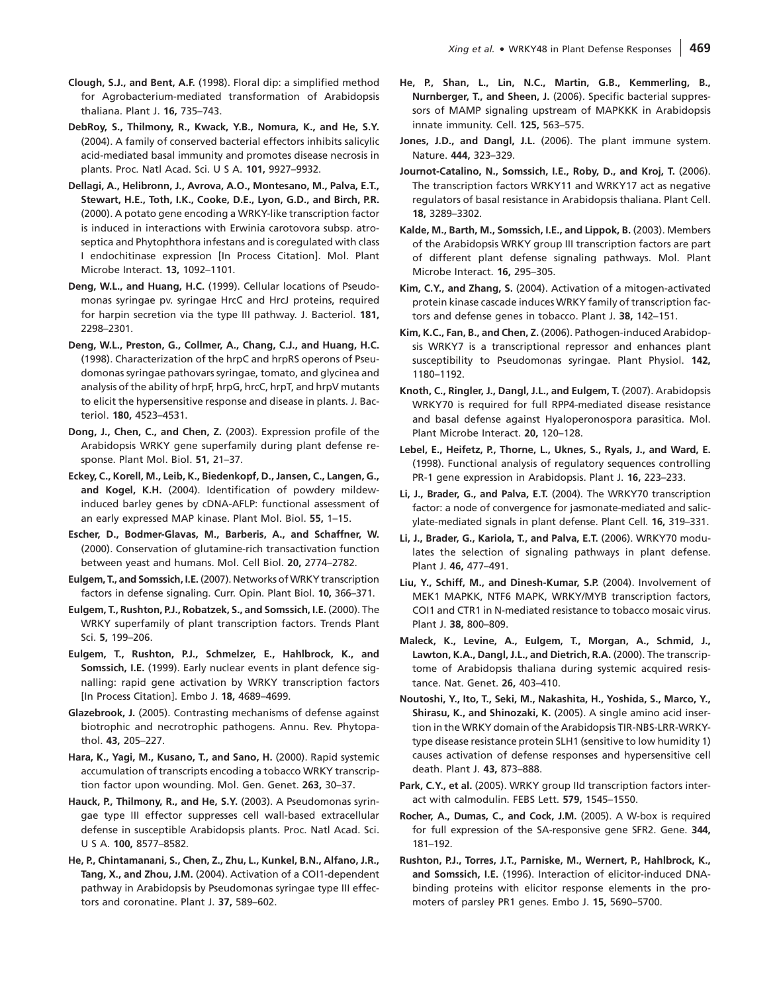- Clough, S.J., and Bent, A.F. (1998). Floral dip: a simplified method for Agrobacterium-mediated transformation of Arabidopsis thaliana. Plant J. 16, 735–743.
- DebRoy, S., Thilmony, R., Kwack, Y.B., Nomura, K., and He, S.Y. (2004). A family of conserved bacterial effectors inhibits salicylic acid-mediated basal immunity and promotes disease necrosis in plants. Proc. Natl Acad. Sci. U S A. 101, 9927–9932.
- Dellagi, A., Helibronn, J., Avrova, A.O., Montesano, M., Palva, E.T., Stewart, H.E., Toth, I.K., Cooke, D.E., Lyon, G.D., and Birch, P.R. (2000). A potato gene encoding a WRKY-like transcription factor is induced in interactions with Erwinia carotovora subsp. atroseptica and Phytophthora infestans and is coregulated with class I endochitinase expression [In Process Citation]. Mol. Plant Microbe Interact. 13, 1092–1101.
- Deng, W.L., and Huang, H.C. (1999). Cellular locations of Pseudomonas syringae pv. syringae HrcC and HrcJ proteins, required for harpin secretion via the type III pathway. J. Bacteriol. 181, 2298–2301.
- Deng, W.L., Preston, G., Collmer, A., Chang, C.J., and Huang, H.C. (1998). Characterization of the hrpC and hrpRS operons of Pseudomonas syringae pathovars syringae, tomato, and glycinea and analysis of the ability of hrpF, hrpG, hrcC, hrpT, and hrpV mutants to elicit the hypersensitive response and disease in plants. J. Bacteriol. 180, 4523–4531.
- Dong, J., Chen, C., and Chen, Z. (2003). Expression profile of the Arabidopsis WRKY gene superfamily during plant defense response. Plant Mol. Biol. 51, 21–37.
- Eckey, C., Korell, M., Leib, K., Biedenkopf, D., Jansen, C., Langen, G., and Kogel, K.H. (2004). Identification of powdery mildewinduced barley genes by cDNA-AFLP: functional assessment of an early expressed MAP kinase. Plant Mol. Biol. 55, 1–15.
- Escher, D., Bodmer-Glavas, M., Barberis, A., and Schaffner, W. (2000). Conservation of glutamine-rich transactivation function between yeast and humans. Mol. Cell Biol. 20, 2774–2782.
- Eulgem, T., and Somssich, I.E. (2007). Networks of WRKY transcription factors in defense signaling. Curr. Opin. Plant Biol. 10, 366–371.
- Eulgem, T., Rushton, P.J., Robatzek, S., and Somssich, I.E. (2000). The WRKY superfamily of plant transcription factors. Trends Plant Sci. 5, 199–206.
- Eulgem, T., Rushton, P.J., Schmelzer, E., Hahlbrock, K., and Somssich, I.E. (1999). Early nuclear events in plant defence signalling: rapid gene activation by WRKY transcription factors [In Process Citation]. Embo J. 18, 4689–4699.
- Glazebrook, J. (2005). Contrasting mechanisms of defense against biotrophic and necrotrophic pathogens. Annu. Rev. Phytopathol. 43, 205–227.
- Hara, K., Yagi, M., Kusano, T., and Sano, H. (2000). Rapid systemic accumulation of transcripts encoding a tobacco WRKY transcription factor upon wounding. Mol. Gen. Genet. 263, 30–37.
- Hauck, P., Thilmony, R., and He, S.Y. (2003). A Pseudomonas syringae type III effector suppresses cell wall-based extracellular defense in susceptible Arabidopsis plants. Proc. Natl Acad. Sci. U S A. 100, 8577–8582.
- He, P., Chintamanani, S., Chen, Z., Zhu, L., Kunkel, B.N., Alfano, J.R., Tang, X., and Zhou, J.M. (2004). Activation of a COI1-dependent pathway in Arabidopsis by Pseudomonas syringae type III effectors and coronatine. Plant J. 37, 589–602.
- He, P., Shan, L., Lin, N.C., Martin, G.B., Kemmerling, B., Nurnberger, T., and Sheen, J. (2006). Specific bacterial suppressors of MAMP signaling upstream of MAPKKK in Arabidopsis innate immunity. Cell. 125, 563–575.
- Jones, J.D., and Dangl, J.L. (2006). The plant immune system. Nature. 444, 323–329.
- Journot-Catalino, N., Somssich, I.E., Roby, D., and Kroj, T. (2006). The transcription factors WRKY11 and WRKY17 act as negative regulators of basal resistance in Arabidopsis thaliana. Plant Cell. 18, 3289–3302.
- Kalde, M., Barth, M., Somssich, I.E., and Lippok, B. (2003). Members of the Arabidopsis WRKY group III transcription factors are part of different plant defense signaling pathways. Mol. Plant Microbe Interact. 16, 295–305.
- Kim, C.Y., and Zhang, S. (2004). Activation of a mitogen-activated protein kinase cascade induces WRKY family of transcription factors and defense genes in tobacco. Plant J. 38, 142–151.
- Kim, K.C., Fan, B., and Chen, Z. (2006). Pathogen-induced Arabidopsis WRKY7 is a transcriptional repressor and enhances plant susceptibility to Pseudomonas syringae. Plant Physiol. 142, 1180–1192.
- Knoth, C., Ringler, J., Dangl, J.L., and Eulgem, T. (2007). Arabidopsis WRKY70 is required for full RPP4-mediated disease resistance and basal defense against Hyaloperonospora parasitica. Mol. Plant Microbe Interact. 20, 120–128.
- Lebel, E., Heifetz, P., Thorne, L., Uknes, S., Ryals, J., and Ward, E. (1998). Functional analysis of regulatory sequences controlling PR-1 gene expression in Arabidopsis. Plant J. 16, 223–233.
- Li, J., Brader, G., and Palva, E.T. (2004). The WRKY70 transcription factor: a node of convergence for jasmonate-mediated and salicylate-mediated signals in plant defense. Plant Cell. 16, 319–331.
- Li, J., Brader, G., Kariola, T., and Palva, E.T. (2006). WRKY70 modulates the selection of signaling pathways in plant defense. Plant J. 46, 477–491.
- Liu, Y., Schiff, M., and Dinesh-Kumar, S.P. (2004). Involvement of MEK1 MAPKK, NTF6 MAPK, WRKY/MYB transcription factors, COI1 and CTR1 in N-mediated resistance to tobacco mosaic virus. Plant J. 38, 800–809.
- Maleck, K., Levine, A., Eulgem, T., Morgan, A., Schmid, J., Lawton, K.A., Dangl, J.L., and Dietrich, R.A. (2000). The transcriptome of Arabidopsis thaliana during systemic acquired resistance. Nat. Genet. 26, 403–410.
- Noutoshi, Y., Ito, T., Seki, M., Nakashita, H., Yoshida, S., Marco, Y., Shirasu, K., and Shinozaki, K. (2005). A single amino acid insertion in the WRKY domain of the Arabidopsis TIR-NBS-LRR-WRKYtype disease resistance protein SLH1 (sensitive to low humidity 1) causes activation of defense responses and hypersensitive cell death. Plant J. 43, 873–888.
- Park, C.Y., et al. (2005). WRKY group IId transcription factors interact with calmodulin. FEBS Lett. 579, 1545–1550.
- Rocher, A., Dumas, C., and Cock, J.M. (2005). A W-box is required for full expression of the SA-responsive gene SFR2. Gene. 344, 181–192.
- Rushton, P.J., Torres, J.T., Parniske, M., Wernert, P., Hahlbrock, K., and Somssich, I.E. (1996). Interaction of elicitor-induced DNAbinding proteins with elicitor response elements in the promoters of parsley PR1 genes. Embo J. 15, 5690–5700.